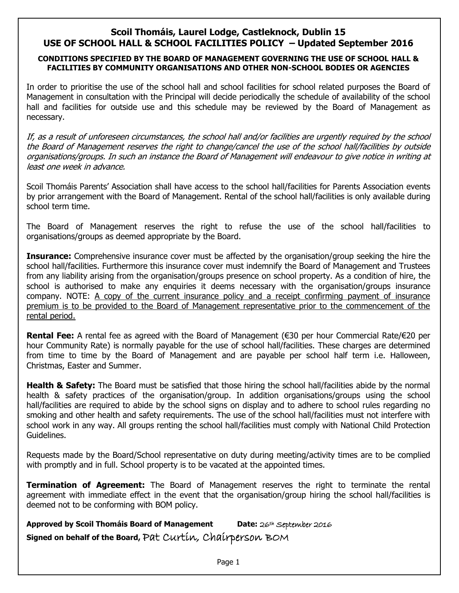## **Scoil Thomáis, Laurel Lodge, Castleknock, Dublin 15 USE OF SCHOOL HALL & SCHOOL FACILITIES POLICY – Updated September 2016**

## **CONDITIONS SPECIFIED BY THE BOARD OF MANAGEMENT GOVERNING THE USE OF SCHOOL HALL & FACILITIES BY COMMUNITY ORGANISATIONS AND OTHER NON-SCHOOL BODIES OR AGENCIES**

In order to prioritise the use of the school hall and school facilities for school related purposes the Board of Management in consultation with the Principal will decide periodically the schedule of availability of the school hall and facilities for outside use and this schedule may be reviewed by the Board of Management as necessary.

If, as a result of unforeseen circumstances, the school hall and/or facilities are urgently required by the school the Board of Management reserves the right to change/cancel the use of the school hall/facilities by outside organisations/groups. In such an instance the Board of Management will endeavour to give notice in writing at least one week in advance.

Scoil Thomáis Parents' Association shall have access to the school hall/facilities for Parents Association events by prior arrangement with the Board of Management. Rental of the school hall/facilities is only available during school term time.

The Board of Management reserves the right to refuse the use of the school hall/facilities to organisations/groups as deemed appropriate by the Board.

**Insurance:** Comprehensive insurance cover must be affected by the organisation/group seeking the hire the school hall/facilities. Furthermore this insurance cover must indemnify the Board of Management and Trustees from any liability arising from the organisation/groups presence on school property. As a condition of hire, the school is authorised to make any enquiries it deems necessary with the organisation/groups insurance company. NOTE: A copy of the current insurance policy and a receipt confirming payment of insurance premium is to be provided to the Board of Management representative prior to the commencement of the rental period.

**Rental Fee:** A rental fee as agreed with the Board of Management (€30 per hour Commercial Rate/€20 per hour Community Rate) is normally payable for the use of school hall/facilities. These charges are determined from time to time by the Board of Management and are payable per school half term i.e. Halloween, Christmas, Easter and Summer.

**Health & Safety:** The Board must be satisfied that those hiring the school hall/facilities abide by the normal health & safety practices of the organisation/group. In addition organisations/groups using the school hall/facilities are required to abide by the school signs on display and to adhere to school rules regarding no smoking and other health and safety requirements. The use of the school hall/facilities must not interfere with school work in any way. All groups renting the school hall/facilities must comply with National Child Protection Guidelines.

Requests made by the Board/School representative on duty during meeting/activity times are to be complied with promptly and in full. School property is to be vacated at the appointed times.

**Termination of Agreement:** The Board of Management reserves the right to terminate the rental agreement with immediate effect in the event that the organisation/group hiring the school hall/facilities is deemed not to be conforming with BOM policy.

**Approved by Scoil Thomáis Board of Management Date:** 26th September 2016 **Signed on behalf of the Board,** Pat Curtin, Chairperson BOM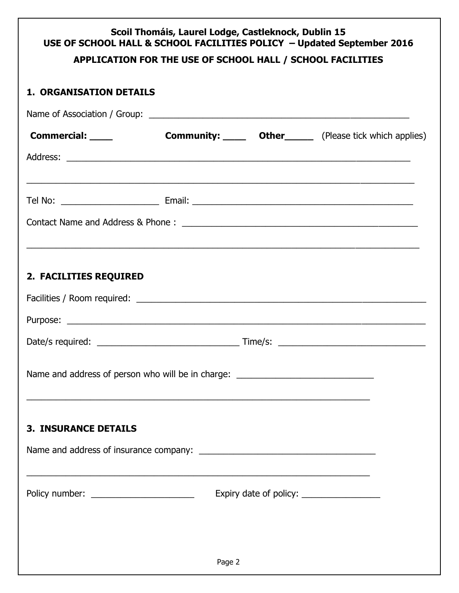## **Scoil Thomáis, Laurel Lodge, Castleknock, Dublin 15 USE OF SCHOOL HALL & SCHOOL FACILITIES POLICY – Updated September 2016** Page 2 **APPLICATION FOR THE USE OF SCHOOL HALL / SCHOOL FACILITIES 1. ORGANISATION DETAILS** Name of Association / Group: \_\_\_\_\_\_\_\_\_\_\_\_\_\_\_\_\_\_\_\_\_\_\_\_\_\_\_\_\_\_\_\_\_\_\_\_\_\_\_\_\_\_\_\_\_\_\_\_\_\_\_\_\_ **Commercial:** Community: **Community:** Community: Commercial: Community: Community: Community: Community: Community: Community: Community: Community: Community: Community: Community: Community: Community: Community: Communi Address: \_\_\_\_\_\_\_\_\_\_\_\_\_\_\_\_\_\_\_\_\_\_\_\_\_\_\_\_\_\_\_\_\_\_\_\_\_\_\_\_\_\_\_\_\_\_\_\_\_\_\_\_\_\_\_\_\_\_\_\_\_\_\_\_\_\_\_\_\_\_ \_\_\_\_\_\_\_\_\_\_\_\_\_\_\_\_\_\_\_\_\_\_\_\_\_\_\_\_\_\_\_\_\_\_\_\_\_\_\_\_\_\_\_\_\_\_\_\_\_\_\_\_\_\_\_\_\_\_\_\_\_\_\_\_\_\_\_\_\_\_\_\_\_\_\_\_\_\_\_ Tel No: \_\_\_\_\_\_\_\_\_\_\_\_\_\_\_\_\_\_\_\_ Email: \_\_\_\_\_\_\_\_\_\_\_\_\_\_\_\_\_\_\_\_\_\_\_\_\_\_\_\_\_\_\_\_\_\_\_\_\_\_\_\_\_\_\_\_\_ Contact Name and Address & Phone : \_\_\_\_\_\_\_\_\_\_\_\_\_\_\_\_\_\_\_\_\_\_\_\_\_\_\_\_\_\_\_\_\_\_\_\_\_\_\_\_\_\_\_\_\_\_\_\_ \_\_\_\_\_\_\_\_\_\_\_\_\_\_\_\_\_\_\_\_\_\_\_\_\_\_\_\_\_\_\_\_\_\_\_\_\_\_\_\_\_\_\_\_\_\_\_\_\_\_\_\_\_\_\_\_\_\_\_\_\_\_\_\_\_\_\_\_\_\_\_\_\_\_\_\_\_\_\_\_ **2. FACILITIES REQUIRED** Facilities / Room required: \_\_\_\_\_\_\_\_\_\_\_\_\_\_\_\_\_\_\_\_\_\_\_\_\_\_\_\_\_\_\_\_\_\_\_\_\_\_\_\_\_\_\_\_\_\_\_\_\_\_\_\_\_\_\_\_\_\_\_ Purpose: \_\_\_\_\_\_\_\_\_\_\_\_\_\_\_\_\_\_\_\_\_\_\_\_\_\_\_\_\_\_\_\_\_\_\_\_\_\_\_\_\_\_\_\_\_\_\_\_\_\_\_\_\_\_\_\_\_\_\_\_\_\_\_\_\_\_\_\_\_\_\_\_\_ Date/s required: \_\_\_\_\_\_\_\_\_\_\_\_\_\_\_\_\_\_\_\_\_\_\_\_\_\_\_\_\_ Time/s: \_\_\_\_\_\_\_\_\_\_\_\_\_\_\_\_\_\_\_\_\_\_\_\_\_\_\_\_\_\_ Name and address of person who will be in charge: \_\_\_\_\_\_\_\_\_\_\_\_\_\_\_\_\_\_\_\_\_\_\_\_\_\_\_\_\_\_ \_\_\_\_\_\_\_\_\_\_\_\_\_\_\_\_\_\_\_\_\_\_\_\_\_\_\_\_\_\_\_\_\_\_\_\_\_\_\_\_\_\_\_\_\_\_\_\_\_\_\_\_\_\_\_\_\_\_\_\_\_\_\_\_\_\_\_\_\_\_ **3. INSURANCE DETAILS** Name and address of insurance company: \_\_\_\_\_\_\_\_\_\_\_\_\_\_\_\_\_\_\_\_\_\_\_\_\_\_\_\_\_\_\_\_\_\_\_\_ \_\_\_\_\_\_\_\_\_\_\_\_\_\_\_\_\_\_\_\_\_\_\_\_\_\_\_\_\_\_\_\_\_\_\_\_\_\_\_\_\_\_\_\_\_\_\_\_\_\_\_\_\_\_\_\_\_\_\_\_\_\_\_\_\_\_\_\_\_\_ Policy number: \_\_\_\_\_\_\_\_\_\_\_\_\_\_\_\_\_\_\_\_\_ Expiry date of policy: \_\_\_\_\_\_\_\_\_\_\_\_\_\_\_\_